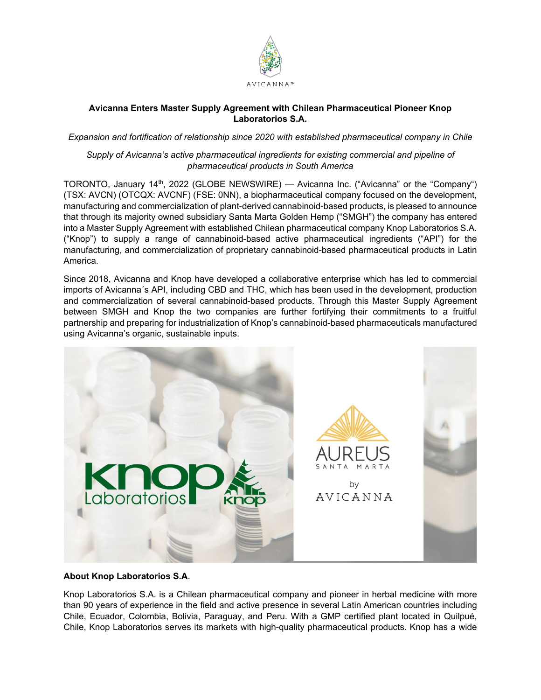

## **Avicanna Enters Master Supply Agreement with Chilean Pharmaceutical Pioneer Knop Laboratorios S.A.**

*Expansion and fortification of relationship since 2020 with established pharmaceutical company in Chile* 

# *Supply of Avicanna's active pharmaceutical ingredients for existing commercial and pipeline of pharmaceutical products in South America*

TORONTO, January 14th, 2022 (GLOBE NEWSWIRE) — Avicanna Inc. ("Avicanna" or the "Company") (TSX: AVCN) (OTCQX: AVCNF) (FSE: 0NN), a biopharmaceutical company focused on the development, manufacturing and commercialization of plant-derived cannabinoid-based products, is pleased to announce that through its majority owned subsidiary Santa Marta Golden Hemp ("SMGH") the company has entered into a Master Supply Agreement with established Chilean pharmaceutical company Knop Laboratorios S.A. ("Knop") to supply a range of cannabinoid-based active pharmaceutical ingredients ("API") for the manufacturing, and commercialization of proprietary cannabinoid-based pharmaceutical products in Latin America.

Since 2018, Avicanna and Knop have developed a collaborative enterprise which has led to commercial imports of Avicanna´s API, including CBD and THC, which has been used in the development, production and commercialization of several cannabinoid-based products. Through this Master Supply Agreement between SMGH and Knop the two companies are further fortifying their commitments to a fruitful partnership and preparing for industrialization of Knop's cannabinoid-based pharmaceuticals manufactured using Avicanna's organic, sustainable inputs.



#### **About Knop Laboratorios S.A**.

Knop Laboratorios S.A. is a Chilean pharmaceutical company and pioneer in herbal medicine with more than 90 years of experience in the field and active presence in several Latin American countries including Chile, Ecuador, Colombia, Bolivia, Paraguay, and Peru. With a GMP certified plant located in Quilpué, Chile, Knop Laboratorios serves its markets with high-quality pharmaceutical products. Knop has a wide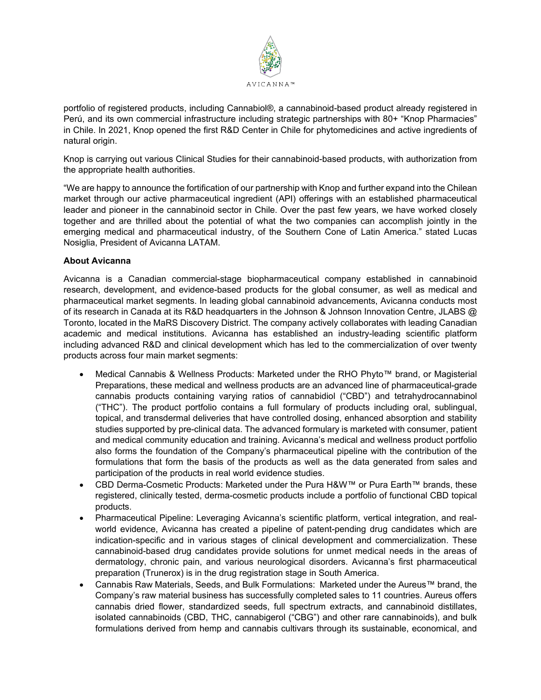

portfolio of registered products, including Cannabiol®, a cannabinoid-based product already registered in Perú, and its own commercial infrastructure including strategic partnerships with 80+ "Knop Pharmacies" in Chile. In 2021, Knop opened the first R&D Center in Chile for phytomedicines and active ingredients of natural origin.

Knop is carrying out various Clinical Studies for their cannabinoid-based products, with authorization from the appropriate health authorities.

"We are happy to announce the fortification of our partnership with Knop and further expand into the Chilean market through our active pharmaceutical ingredient (API) offerings with an established pharmaceutical leader and pioneer in the cannabinoid sector in Chile. Over the past few years, we have worked closely together and are thrilled about the potential of what the two companies can accomplish jointly in the emerging medical and pharmaceutical industry, of the Southern Cone of Latin America." stated Lucas Nosiglia, President of Avicanna LATAM.

# **About Avicanna**

Avicanna is a Canadian commercial-stage biopharmaceutical company established in cannabinoid research, development, and evidence-based products for the global consumer, as well as medical and pharmaceutical market segments. In leading global cannabinoid advancements, Avicanna conducts most of its research in Canada at its R&D headquarters in the Johnson & Johnson Innovation Centre, JLABS @ Toronto, located in the MaRS Discovery District. The company actively collaborates with leading Canadian academic and medical institutions. Avicanna has established an industry-leading scientific platform including advanced R&D and clinical development which has led to the commercialization of over twenty products across four main market segments:

- Medical Cannabis & Wellness Products: Marketed under the RHO Phyto™ brand, or Magisterial Preparations, these medical and wellness products are an advanced line of pharmaceutical-grade cannabis products containing varying ratios of cannabidiol ("CBD") and tetrahydrocannabinol ("THC"). The product portfolio contains a full formulary of products including oral, sublingual, topical, and transdermal deliveries that have controlled dosing, enhanced absorption and stability studies supported by pre-clinical data. The advanced formulary is marketed with consumer, patient and medical community education and training. Avicanna's medical and wellness product portfolio also forms the foundation of the Company's pharmaceutical pipeline with the contribution of the formulations that form the basis of the products as well as the data generated from sales and participation of the products in real world evidence studies.
- CBD Derma-Cosmetic Products: Marketed under the Pura H&W™ or Pura Earth™ brands, these registered, clinically tested, derma-cosmetic products include a portfolio of functional CBD topical products.
- Pharmaceutical Pipeline: Leveraging Avicanna's scientific platform, vertical integration, and realworld evidence, Avicanna has created a pipeline of patent-pending drug candidates which are indication-specific and in various stages of clinical development and commercialization. These cannabinoid-based drug candidates provide solutions for unmet medical needs in the areas of dermatology, chronic pain, and various neurological disorders. Avicanna's first pharmaceutical preparation (Trunerox) is in the drug registration stage in South America.
- Cannabis Raw Materials, Seeds, and Bulk Formulations: Marketed under the Aureus™ brand, the Company's raw material business has successfully completed sales to 11 countries. Aureus offers cannabis dried flower, standardized seeds, full spectrum extracts, and cannabinoid distillates, isolated cannabinoids (CBD, THC, cannabigerol ("CBG") and other rare cannabinoids), and bulk formulations derived from hemp and cannabis cultivars through its sustainable, economical, and